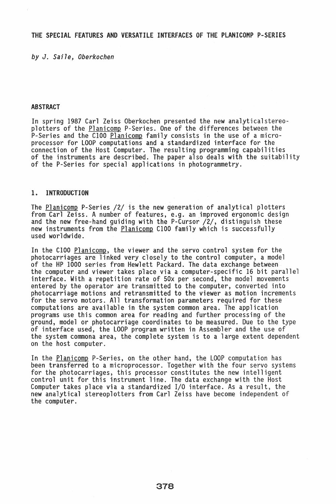*by* J. *Saile, Oberkochen* 

# ABSTRACT

In spring 1987 Carl Zeiss Oberkochen presented the new analytical stereoplotters of the Planicomp P-Series. One of the differences between the P-Series and the C100 Planicomp family consists in the use of a microprocessor for LOOP computations and a standardized interface for the connection of the Host Computer. The resulting programming capabilities of the instruments are described. The paper also deals with the suitability<br>of the P-Series for special applications in photogrammetry.

### 1. INTRODUCTION

The <u>Planicomp</u> P-Series /2/ is the new generation of analytical plotters<br>from Carl Zeiss. A number of features, e.g. an improved ergonomic design<br>and the new free-hand guiding with the P-Cursor /2/, distinguish these new instruments from the <u>Planicomp</u> C100 family which is successfully<br>used worldwide.

In the C100 Planicomp, the viewer and the servo control system for the photocarriages are linked very closely to the control computer, a model of the HP 1000 series from Hewlett Packard. The data exchange between the computer and viewer takes place via a computer-specific 16 bit parallel interface. With a repetition rate of 50x per second, the model movements entered by the operator are transmitted to the computer, converted into photocarriage motions and retransmitted to the viewer as motion increments for the servo motors. All transformation parameters required for these computations are available in the system common area. The application programs use this common area for reading and further processing of the ground, model or photocarriage coordinates to be measured. Due to the type of interface used, the LOOP program written in Assembler and the use of the system commona area, the complete system is to a large extent dependent on the host computer.

In the <u>Planicomp</u> P-Series, on the other hand, the LOOP computation has<br>been transferred to a microprocessor. Together with the four servo systems for the photocarriages, this processor constitutes the new intelligent control unit for this instrument line. The data exchange with the Host Computer takes place via a standardized I/O interface. As a result, the new analytical stereoplotters from Carl Zeiss have become independent of the computer.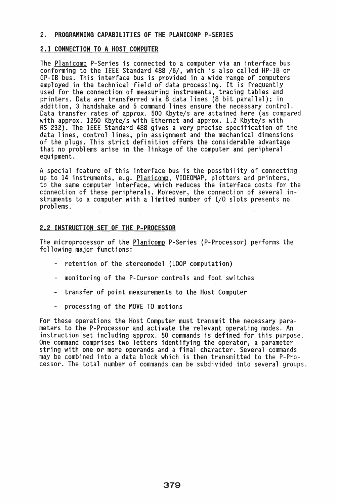#### 2. PROGRAMMING CAPABILITIES OF THE PLANICOMP P-SERIES

# 2.1 CONNECTION TO A HOST COMPUTER

The Planicomp P-Series is connected to a computer via an interface bus conforming to the IEEE Standard 488 /6/, which is also called HP-IB or GP-IB bus. This interface bus is provided in a wide range of computers<br>employed in the technical field of data processing. It is frequently used for the connection of measuring instruments, tracing tables and printers. Data are transferred via 8 data lines (8 bit parallel); in addition, 3 handshake and 5 command lines ensure the necessary control. Data transfer rates of approx. 500 Kbyte/s are attained here {as compared with approx. 1250 Kbyte/s with Ethernet and approx. 1.2 Kbyte/s with RS 232}. The IEEE Standard 488 gives a very precise specification of the data lines, control lines, pin assignment and the mechanical dimensions of the plugs. This strict definition offers the considerable advantage that no problems arise in the linkage of the computer and peripheral equipment.

A special feature of this interface bus is the possibility of connecting up to 14 instruments, e.g. <u>Planicomp</u>, VIDEOMAP, plotters and printers, to the same computer interface, which reduces the interface costs for the connection of these peripherals. Moreover, the connection of several instruments to a computer with a limited number of I/O slots presents no problems.

### 2.2 INSTRUCTION SET OF THE P-PROCESSOR

The microprocessor of the Planicomp P-Series (P-Processor) performs the following major functions:

- retention of the stereomodel (LOOP computation)
- monitoring of the P-Cursor controls and foot switches
- transfer of point measurements to the Host Computer
- processing of the MOVE TO motions

For these operations the Host Computer must transmit the necessary parameters to the P-Processor and activate the relevant operating modes. An instruction set including approx. 50 commands is defined for this purpose.<br>One command comprises two letters identifying the operator, a parameter string with one or more operands and a final character. Several commands may be combined into a data block which is then transmitted to the P-Processor. The total number of commands can be subdivided into several groups.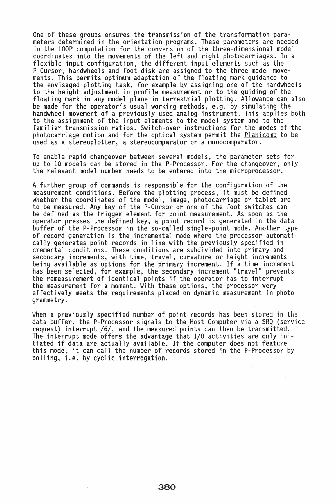One of these groups ensures the transmission of the transformation parameters determined in the orientation programs. These parameters are needed in the LOOP computation for the conversion of the three-dimensional model coordinates into the movements of the left and right photocarriages. In a flexible input configuration, the different input elements such as the P-Cursor, handwheels and foot disk are assigned to the three model movements. This permits optimum adaptation of the floating mark guidance to the envisaged plotting task, for example by assigning one of the handwheels to the height adjustment in profile measurement or to the guiding of the floating mark in any model plane in terrestrial plotting. Allowance can also be made for the operator's usual working methods, e.g. by simulating the handwheel movement of a previously used analog instrument. This applies both to the assignment of the input elements to the model system and to the familiar transmission ratios. Switch-over instructions for the modes of the photocarriage motion and for the optical system permit the Planicomp to be used as a stereoplotter, a stereocomparator or a monocomparator.

To enable rapid changeover between several models, the parameter sets for up to 10 models can be stored in the P-Processor. For the changeover, only the relevant model number needs to be entered into the microprocessor.

A further group of commands is responsible for the configuration of the measurement conditions. Before the plotting process, it must be defined whether the coordinates of the model, image, photocarriage or tablet are to be measured. Any key of the P-Cursor or one of the foot switches can be defined as the trigger element for point measurement. As soon as the operator presses the defined key, a point record is generated in the data buffer of the P-Processor in the so-called single-point mode. Another type of record generation is the incremental mode where the processor automatically generates point records in line with the previously specified incremental conditions. These conditions are subdivided into primary and secondary increments, with time, travel, curvature or height increments being available as options for the primary increment. If a time increment has been selected, for example, the secondary increment "travel" prevents the remeasurement of identical points if the operator has to interrupt<br>the measurement for a moment. With these options, the processor very<br>effectively meets the requirements placed on dynamic measurement in photogrammetry.

When a previously specified number of point records has been stored in the data buffer, the P-Processor signals to the Host Computer via a SRQ (service request) interrupt /6/, and the measured points can then be transmitted. The interrupt mode offers the advantage that  $I/O$  activities are only initiated if data are actually available. If the computer does not feature this mode, it can call the number of records stored in the P-Processor by polling, i.e. by cyclic interrogation.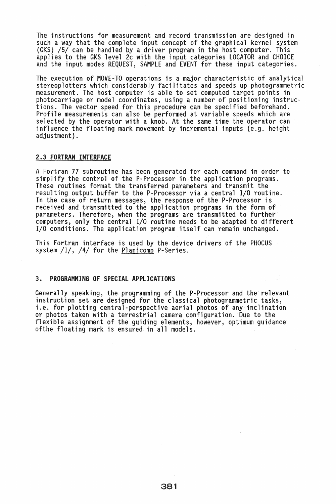The instructions for measurement and record transmission are designed in such a way that the complete input concept of the graphical kernel system (GKS) /5/ can be handled by a driver program in the host computer. This applies to the GKS level 2c with the input categories LOCATOR and CHOICE and the input modes REQUEST, SAMPLE and EVENT for these input categories.

The execution of MOVE-TO operations is a major characteristic of analytical stereoplotters which considerably facilitates and speeds up photogrammetric measurement. The host computer is able to set computed target points in photocarriage or model coordinates, using a number of positioning instructions. The vector speed for this procedure can be specified beforehand. Profile measurements can also be performed at variable speeds which are selected by the operator with a knob. At the same time the operator can influence the floating mark movement by incremental inputs (e.g. height adjustment).

#### 2.3 FORTRAN INTERFACE

A Fortran 77 subroutine has been generated for each command in order to simplify the control of the P-Processor in the application programs. These routines format the transferred parameters and transmit the resulting output buffer to the P-Processor via a central I/O routine. In the case of return messages, the response of the P-Processor is received and transmitted to the application programs in the form of parameters. Therefore, when the programs are transmitted to further computers, only the central I/O routine needs to be adapted to different I/O conditions. The application program itself can remain unchanged.

This Fortran interface is used by the device drivers of the PHOCUS system /1/, /4/ for the Planicomp P-Series.

# 3. PROGRAMMING OF SPECIAL APPLICATIONS

Generally speaking, the programming of the P-Processor and the relevant instruction set are designed for the classical photogrammetric tasks, i.e. for plotting central-perspective aerial photos of any inclination or photos taken with a terrestrial camera configuration. Due to the flexible assignment of the guiding elements, however, optimum guidance of the floating mark is ensured in all models.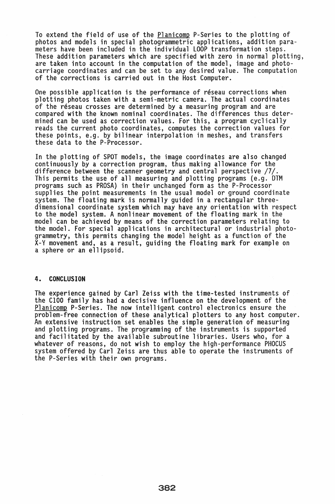To extend the field of use of the Planicomp P-Series to the plotting of photos and models in special photogrammetric applications, addition para-These addition parameters which are specified with zero in normal plotting, are taken into account in the computation of the model, image and photocarriage coordinates and can be set to any desired value. The computation of the corrections is carried out in the Host Computer.

One possible application is the performance of reseau corrections when plotting photos taken with a semi-metric camera. The actual coordinates of the réseau crosses are determined by a measuring program and are compared with the known nominal coordinates. The differences thus deter-<br>mined can be used as correction values. For this, a program cyclically reads the current photo coordinates, computes the correction values for these points, e.g. by bilinear interpolation in meshes, and transfers these data to the P-Processor.

In the plotting of SPOT models, the image coordinates are also changed continuously by a correction program, thus making allowance for the difference between the scanner geometry and central perspective /7/. This permits the use of all measuring and plotting programs (e.g. DTM programs such as PROSA) in their unchanged form as the P-Processor supplies the point measurements in the usual model or ground coordinate system. The floating mark is normally guided in a rectangular threedimensional coordinate system which may have any orientation with respect to the model system. A nonlinear movement of the floating mark in the model can be achieved by means of the correction parameters relating to the model. For special applications in architectural or industrial photogrammetry, this permits changing the model height as a function of the x-v movement and, as a result, guiding the floating mark for example on a sphere or an ellipsoid.

#### 4. CONCLUSION

The experience gained by Carl Zeiss with the time-tested instruments of the C100 family has had a decisive influence on the development of the Planicomp P-Series. The now intelligent control electronics ensure the<br>problem-free connection of these analytical plotters to any host computer. An extensive instruction set enables the simple generation of measuring<br>and plotting programs. The programming of the instruments is supported<br>and facilitated by the available subroutine libraries. Users who, for a whatever of reasons, do not wish to employ the high-performance PHOCUS system offered by Carl Zeiss are thus able to operate the instruments of the P-Series with their own programs.